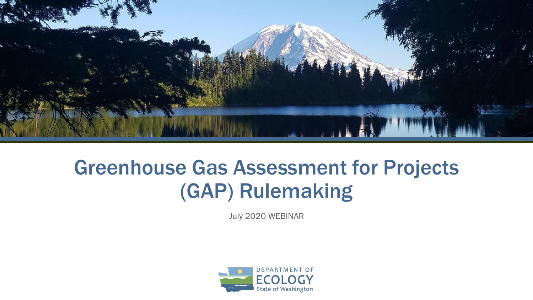

#### Greenhouse Gas Assessment for Projects (GAP) Rulemaking

July 2020 WEBINAR

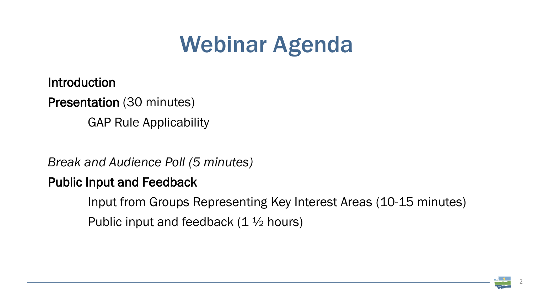# Webinar Agenda

*Break and Audience Poll (5 minutes)* Public Input and Feedback Input from Groups Representing Key Interest Areas (10-15 minutes) Public input and feedback  $(1 \frac{1}{2})$  hours)





Introduction Presentation (30 minutes) GAP Rule Applicability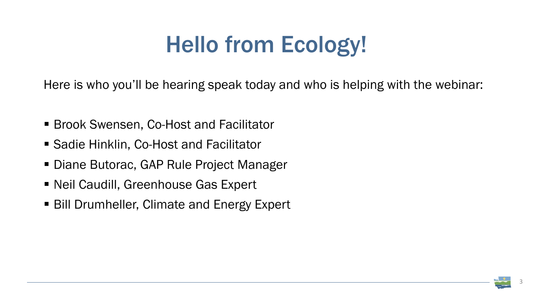## Hello from Ecology!

Here is who you'll be hearing speak today and who is helping with the webinar:

- Brook Swensen, Co-Host and Facilitator
- Sadie Hinklin, Co-Host and Facilitator
- Diane Butorac, GAP Rule Project Manager
- Neil Caudill, Greenhouse Gas Expert
- Bill Drumheller, Climate and Energy Expert



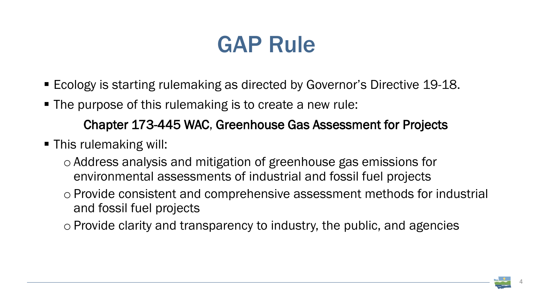#### GAP Rule

- Ecology is starting rulemaking as directed by Governor's Directive 19-18.
- The purpose of this rulemaking is to create a new rule: Chapter 173-445 WAC, Greenhouse Gas Assessment for Projects
- **This rulemaking will:** 
	- o Address analysis and mitigation of greenhouse gas emissions for environmental assessments of industrial and fossil fuel projects o Provide consistent and comprehensive assessment methods for industrial
	- and fossil fuel projects
	- o Provide clarity and transparency to industry, the public, and agencies

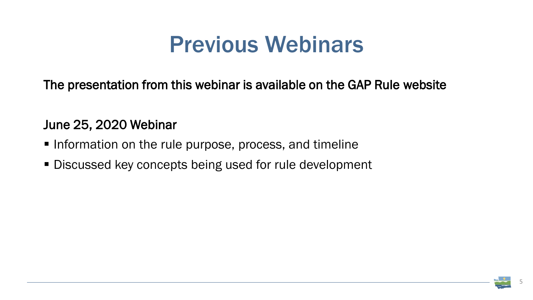### Previous Webinars

The presentation from this webinar is available on the GAP Rule website

#### June 25, 2020 Webinar

- Information on the rule purpose, process, and timeline
- **Discussed key concepts being used for rule development**

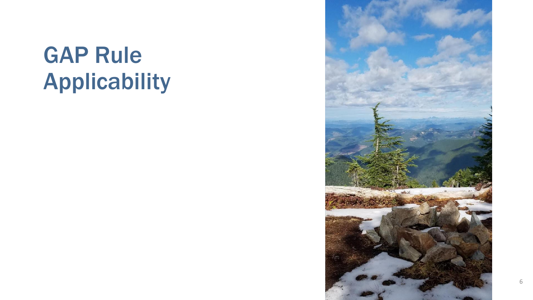### GAP Rule Applicability

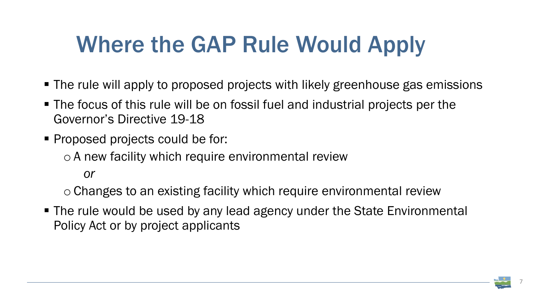# Where the GAP Rule Would Apply

- The rule will apply to proposed projects with likely greenhouse gas emissions
- The focus of this rule will be on fossil fuel and industrial projects per the Governor's Directive 19-18
- **Proposed projects could be for:** o A new facility which require environmental review *or*

■ The rule would be used by any lead agency under the State Environmental Policy Act or by project applicants



o Changes to an existing facility which require environmental review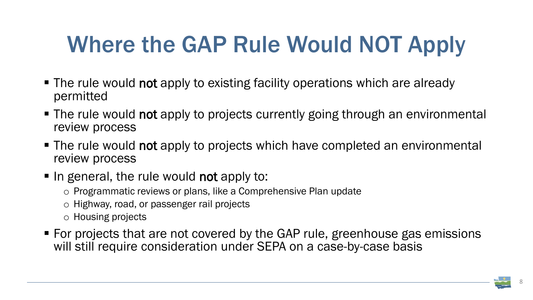# Where the GAP Rule Would NOT Apply

- The rule would not apply to existing facility operations which are already permitted
- The rule would not apply to projects currently going through an environmental review process
- The rule would not apply to projects which have completed an environmental review process
- In general, the rule would not apply to:
	- o Programmatic reviews or plans, like a Comprehensive Plan update
	- o Highway, road, or passenger rail projects
	- o Housing projects
- For projects that are not covered by the GAP rule, greenhouse gas emissions will still require consideration under SEPA on a case-by-case basis

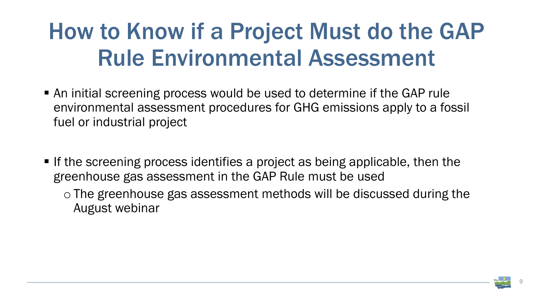## How to Know if a Project Must do the GAP Rule Environmental Assessment

- An initial screening process would be used to determine if the GAP rule environmental assessment procedures for GHG emissions apply to a fossil fuel or industrial project
- If the screening process identifies a project as being applicable, then the greenhouse gas assessment in the GAP Rule must be used o The greenhouse gas assessment methods will be discussed during the August webinar

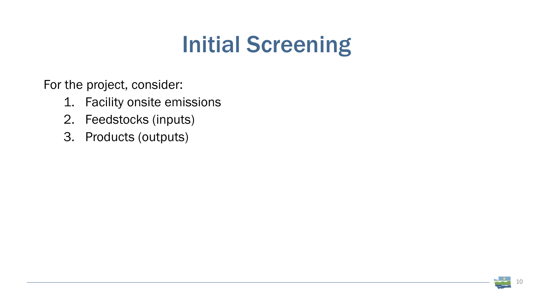

### Initial Screening

For the project, consider:

- 1. Facility onsite emissions
- 2. Feedstocks (inputs)
- 3. Products (outputs)

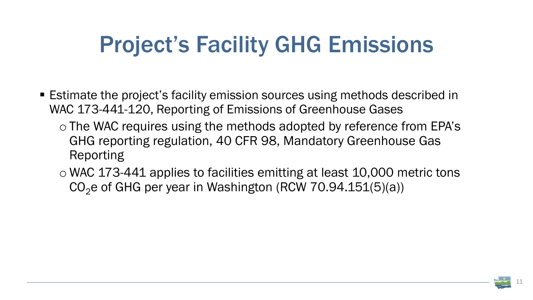# Project's Facility GHG Emissions

- Estimate the project's facility emission sources using methods described in WAC 173-441-120, Reporting of Emissions of Greenhouse Gases
	- o The WAC requires using the methods adopted by reference from EPA's GHG reporting regulation, 40 CFR 98, Mandatory Greenhouse Gas Reporting
	- $\circ$  WAC 173-441 applies to facilities emitting at least 10,000 metric tons  $CO<sub>2</sub>e$  of GHG per year in Washington (RCW 70.94.151(5)(a))

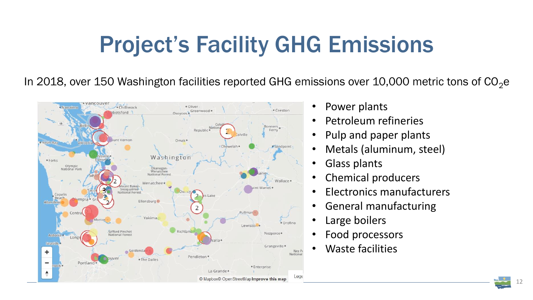

# Project's Facility GHG Emissions

In 2018, over 150 Washington facilities reported GHG emissions over 10,000 metric tons of  $CO<sub>2</sub>e$ 



- 
- Power plants
- Petroleum refineries
- Pulp and paper plants
- Metals (aluminum, steel)
- Glass plants
- Chemical producers
- Electronics manufacturers
- General manufacturing
- Large boilers
- Food processors
- Waste facilities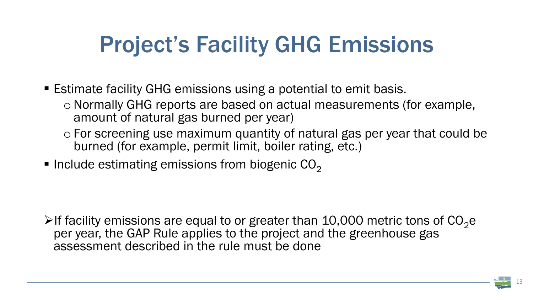# Project's Facility GHG Emissions

- Estimate facility GHG emissions using a potential to emit basis. oNormally GHG reports are based on actual measurements (for example, amount of natural gas burned per year)
	- o For screening use maximum quantity of natural gas per year that could be burned (for example, permit limit, boiler rating, etc.)
- $\blacksquare$  Include estimating emissions from biogenic CO<sub>2</sub>

If facility emissions are equal to or greater than 10,000 metric tons of  $CO<sub>2</sub>e$ per year, the GAP Rule applies to the project and the greenhouse gas assessment described in the rule must be done

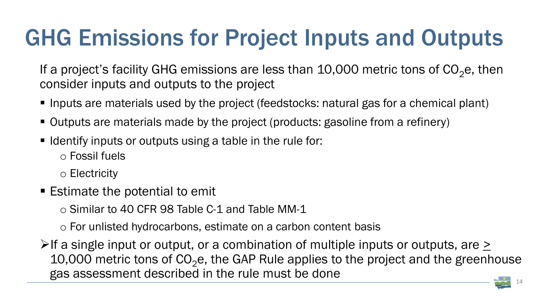### GHG Emissions for Project Inputs and Outputs

If a project's facility GHG emissions are less than 10,000 metric tons of  $CO<sub>2</sub>e$ , then consider inputs and outputs to the project

- Inputs are materials used by the project (feedstocks: natural gas for a chemical plant)
- Outputs are materials made by the project (products: gasoline from a refinery)
- I Identify inputs or outputs using a table in the rule for: o Fossil fuels

14 If a single input or output, or a combination of multiple inputs or outputs, are  $\ge$ 10,000 metric tons of  $CO<sub>2</sub>e$ , the GAP Rule applies to the project and the greenhouse gas assessment described in the rule must be done



o Electricity

■ Estimate the potential to emit

o Similar to 40 CFR 98 Table C-1 and Table MM-1

o For unlisted hydrocarbons, estimate on a carbon content basis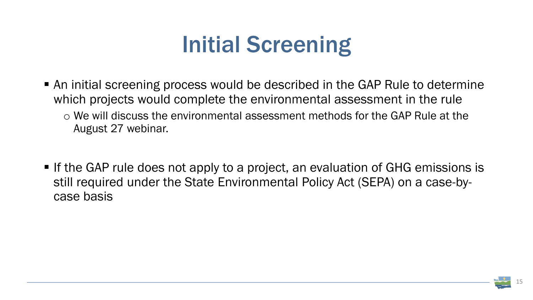

# Initial Screening

- An initial screening process would be described in the GAP Rule to determine which projects would complete the environmental assessment in the rule o We will discuss the environmental assessment methods for the GAP Rule at the August 27 webinar.
- **If the GAP rule does not apply to a project, an evaluation of GHG emissions is** still required under the State Environmental Policy Act (SEPA) on a case-bycase basis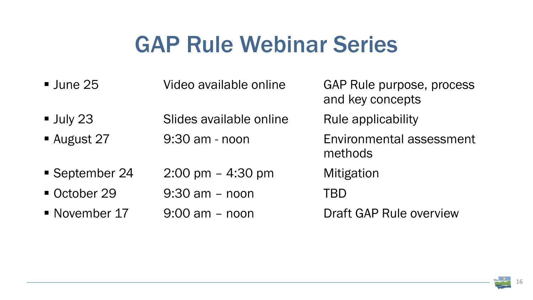

### GAP Rule Webinar Series

| $\blacksquare$ June 25 | Video available online              | GAP<br>and  |
|------------------------|-------------------------------------|-------------|
| $\blacksquare$ July 23 | Slides available online             | Rule        |
| <b>August 27</b>       | 9:30 am - noon                      | Envi<br>met |
| September 24           | $2:00 \text{ pm} - 4:30 \text{ pm}$ | Mitig       |
| October 29             | $9:30$ am $-$ noon                  | <b>TBD</b>  |
| • November 17          | $9:00$ am $-$ noon                  | Draf        |

- AP Rule purpose, process nd key concepts
- ule applicability
- nvironmental assessment **ethods**
- **Iitigation**
- 
- raft GAP Rule overview